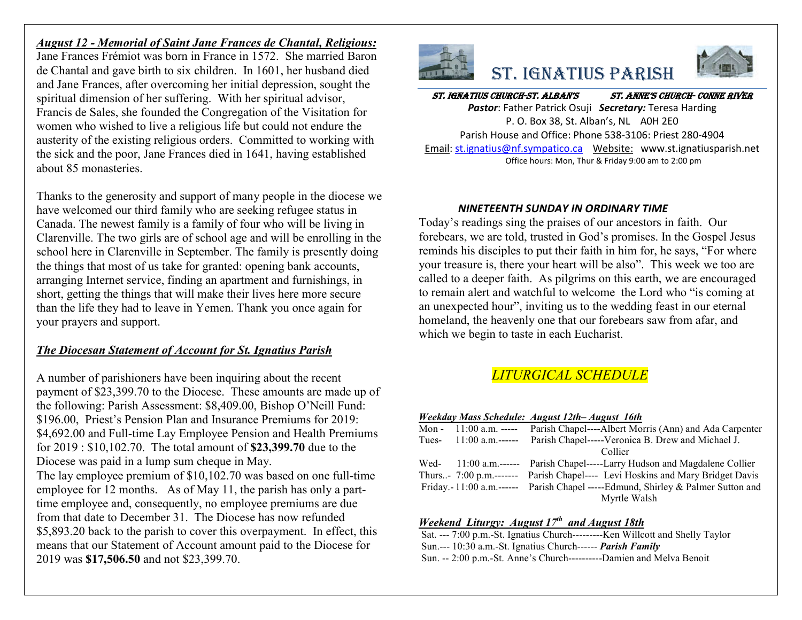# *August 12 - Memorial of Saint Jane Frances de Chantal, Religious:*

Jane Frances Frémiot was born in France in 1572. She married Baron de Chantal and gave birth to six children. In 1601, her husband died and Jane Frances, after overcoming her initial depression, sought the spiritual dimension of her suffering. With her spiritual advisor, Francis de Sales, she founded the Congregation of the Visitation for women who wished to live a religious life but could not endure the austerity of the existing religious orders. Committed to working with the sick and the poor, Jane Frances died in 1641, having established about 85 monasteries.

Thanks to the generosity and support of many people in the diocese we have welcomed our third family who are seeking refugee status in Canada. The newest family is a family of four who will be living in Clarenville. The two girls are of school age and will be enrolling in the school here in Clarenville in September. The family is presently doing the things that most of us take for granted: opening bank accounts, arranging Internet service, finding an apartment and furnishings, in short, getting the things that will make their lives here more secure than the life they had to leave in Yemen. Thank you once again for your prayers and support.

# *The Diocesan Statement of Account for St. Ignatius Parish*

A number of parishioners have been inquiring about the recent payment of \$23,399.70 to the Diocese. These amounts are made up of the following: Parish Assessment: \$8,409.00, Bishop O'Neill Fund: \$196.00, Priest's Pension Plan and Insurance Premiums for 2019: \$4,692.00 and Full-time Lay Employee Pension and Health Premiums for 2019 : \$10,102.70. The total amount of **\$23,399.70** due to the Diocese was paid in a lump sum cheque in May. The lay employee premium of \$10,102.70 was based on one full-time employee for 12 months. As of May 11, the parish has only a parttime employee and, consequently, no employee premiums are due from that date to December 31. The Diocese has now refunded \$5,893.20 back to the parish to cover this overpayment. In effect, this means that our Statement of Account amount paid to the Diocese for 2019 was **\$17,506.50** and not \$23,399.70.







#### St. IgnatIuS ChurCh-St. alban'S St. anne'S ChurCh- Conne rIver *Pastor*: Father Patrick Osuji *Secretary:* Teresa Harding P. O. Box 38, St. Alban's, NL A0H 2E0

Parish House and Office: Phone 538-3106: Priest 280-4904 Email[: st.ignatius@nf.sympatico.ca](mailto:st.ignatius@nf.sympatico.ca) Website: www.st.ignatiusparish.net Office hours: Mon, Thur & Friday 9:00 am to 2:00 pm

### *NINETEENTH SUNDAY IN ORDINARY TIME*

Today's readings sing the praises of our ancestors in faith. Our forebears, we are told, trusted in God's promises. In the Gospel Jesus reminds his disciples to put their faith in him for, he says, "For where your treasure is, there your heart will be also". This week we too are called to a deeper faith. As pilgrims on this earth, we are encouraged to remain alert and watchful to welcome the Lord who "is coming at an unexpected hour", inviting us to the wedding feast in our eternal homeland, the heavenly one that our forebears saw from afar, and which we begin to taste in each Eucharist.

# *LITURGICAL SCHEDULE*

#### *Weekday Mass Schedule: August 12th– August 16th*

| Mon - $11:00$ a.m. ----- | Parish Chapel----Albert Morris (Ann) and Ada Carpenter                          |
|--------------------------|---------------------------------------------------------------------------------|
|                          | Tues- 11:00 a.m.------ Parish Chapel-----Veronica B. Drew and Michael J.        |
|                          | Collier                                                                         |
|                          | Wed- 11:00 a.m.------ Parish Chapel-----Larry Hudson and Magdalene Collier      |
|                          | Thurs- 7:00 p.m.------- Parish Chapel---- Levi Hoskins and Mary Bridget Davis   |
|                          | Friday.-11:00 a.m.------ Parish Chapel -----Edmund, Shirley & Palmer Sutton and |
|                          | Myrtle Walsh                                                                    |

### *Weekend Liturgy: August 17th and August 18th*

Sat. --- 7:00 p.m.-St. Ignatius Church---------Ken Willcott and Shelly Taylor Sun.--- 10:30 a.m.-St. Ignatius Church------ *Parish Family* Sun. -- 2:00 p.m.-St. Anne's Church----------Damien and Melva Benoit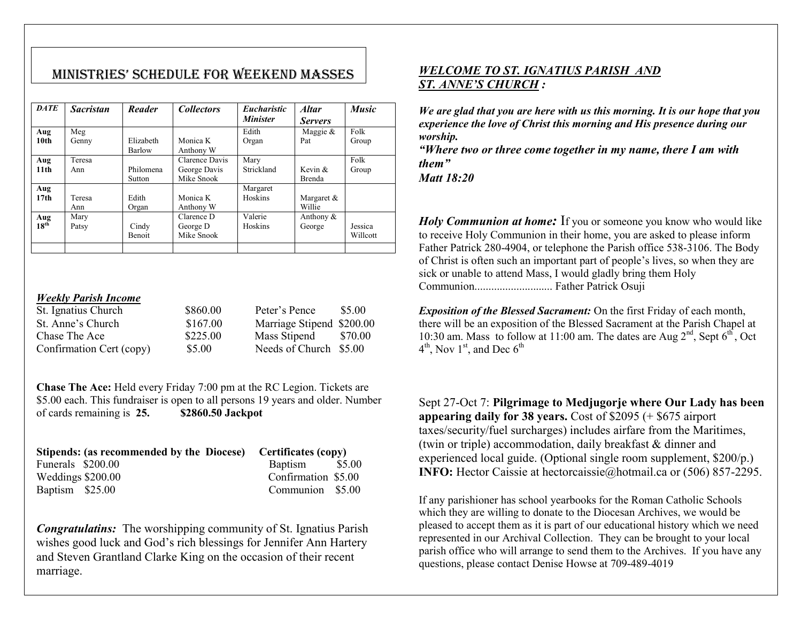# MInIStrIeS' Schedule for Weekend MaSSeS

| <b>DATE</b>             | <b>Sacristan</b> | Reader                 | <b>Collectors</b>                            | <i>Eucharistic</i><br><b>Minister</b> | <b>Altar</b><br><b>Servers</b> | <b>Music</b>        |
|-------------------------|------------------|------------------------|----------------------------------------------|---------------------------------------|--------------------------------|---------------------|
| Aug                     | Meg              |                        |                                              | Edith                                 | Maggie $&$                     | Folk                |
| 10 <sub>th</sub>        | Genny            | Elizabeth<br>Barlow    | Monica K<br>Anthony W                        | Organ                                 | Pat                            | Group               |
| Aug<br>11 <sub>th</sub> | Teresa<br>Ann    | Philomena<br>Sutton    | Clarence Davis<br>George Davis<br>Mike Snook | Mary<br>Strickland                    | Kevin $\&$<br><b>Brenda</b>    | Folk<br>Group       |
| Aug<br>17 <sub>th</sub> | Teresa<br>Ann    | Edith<br>Organ         | Monica K<br>Anthony W                        | Margaret<br>Hoskins                   | Margaret &<br>Willie           |                     |
| Aug<br>$18^{th}$        | Mary<br>Patsy    | Cindy<br><b>Benoit</b> | Clarence D<br>George D<br>Mike Snook         | Valerie<br>Hoskins                    | Anthony &<br>George            | Jessica<br>Willcott |

#### *Weekly Parish Income*

| St. Ignatius Church      | \$860.00 | Peter's Pence             | \$5.00  |
|--------------------------|----------|---------------------------|---------|
| St. Anne's Church        | \$167.00 | Marriage Stipend \$200.00 |         |
| Chase The Ace            | \$225.00 | Mass Stipend              | \$70.00 |
| Confirmation Cert (copy) | \$5.00   | Needs of Church \$5.00    |         |

**Chase The Ace:** Held every Friday 7:00 pm at the RC Legion. Tickets are \$5.00 each. This fundraiser is open to all persons 19 years and older. Number of cards remaining is **25. \$2860.50 Jackpot**

|                   | Stipends: (as recommended by the Diocese) Certificates (copy) |                     |  |
|-------------------|---------------------------------------------------------------|---------------------|--|
| Funerals \$200.00 |                                                               | Baptism \$5.00      |  |
| Weddings \$200.00 |                                                               | Confirmation \$5.00 |  |
| Baptism \$25.00   |                                                               | Communion \$5.00    |  |

*Congratulatins:* The worshipping community of St. Ignatius Parish wishes good luck and God's rich blessings for Jennifer Ann Hartery and Steven Grantland Clarke King on the occasion of their recent marriage.

## *WELCOME TO ST. IGNATIUS PARISH AND ST. ANNE'S CHURCH :*

*We are glad that you are here with us this morning. It is our hope that you experience the love of Christ this morning and His presence during our worship.*

*"Where two or three come together in my name, there I am with them"*

*Matt 18:20*

*Holy Communion at home:* If you or someone you know who would like to receive Holy Communion in their home, you are asked to please inform Father Patrick 280-4904, or telephone the Parish office 538-3106. The Body of Christ is often such an important part of people's lives, so when they are sick or unable to attend Mass, I would gladly bring them Holy Communion............................ Father Patrick Osuji

*Exposition of the Blessed Sacrament:* On the first Friday of each month, there will be an exposition of the Blessed Sacrament at the Parish Chapel at 10:30 am. Mass to follow at 11:00 am. The dates are Aug  $2<sup>nd</sup>$ , Sept  $6<sup>th</sup>$ , Oct  $4<sup>th</sup>$ , Nov  $1<sup>st</sup>$ , and Dec  $6<sup>th</sup>$ 

Sept 27-Oct 7: **Pilgrimage to Medjugorje where Our Lady has been appearing daily for 38 years.** Cost of \$2095 (+ \$675 airport taxes/security/fuel surcharges) includes airfare from the Maritimes, (twin or triple) accommodation, daily breakfast & dinner and experienced local guide. (Optional single room supplement, \$200/p.) **INFO:** Hector Caissie at hectorcaissie@hotmail.ca or (506) 857-2295.

If any parishioner has school yearbooks for the Roman Catholic Schools which they are willing to donate to the Diocesan Archives, we would be pleased to accept them as it is part of our educational history which we need represented in our Archival Collection. They can be brought to your local parish office who will arrange to send them to the Archives. If you have any questions, please contact Denise Howse at 709-489-4019